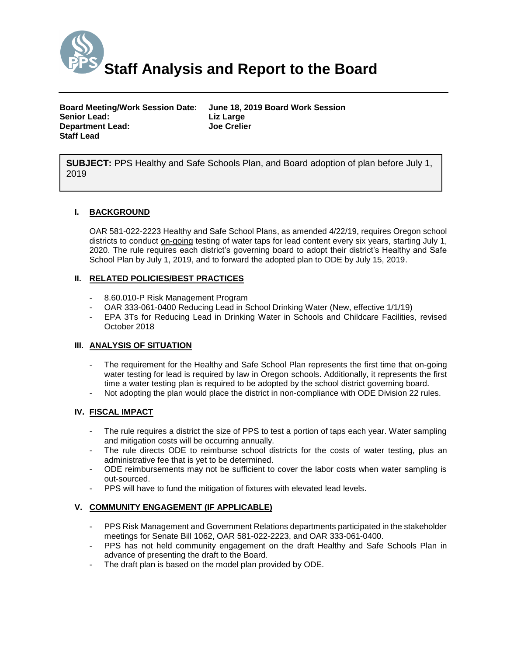

| <b>Board Meeting/Work Session Date:</b> | June 18, 2019 Board Work Session |
|-----------------------------------------|----------------------------------|
| Senior Lead:                            | Liz Large                        |
| <b>Department Lead:</b>                 | <b>Joe Crelier</b>               |
| Staff Lead                              |                                  |

**SUBJECT:** PPS Healthy and Safe Schools Plan, and Board adoption of plan before July 1, 2019

#### **I. BACKGROUND**

OAR 581-022-2223 Healthy and Safe School Plans, as amended 4/22/19, requires Oregon school districts to conduct on-going testing of water taps for lead content every six years, starting July 1, 2020. The rule requires each district's governing board to adopt their district's Healthy and Safe School Plan by July 1, 2019, and to forward the adopted plan to ODE by July 15, 2019.

#### **II. RELATED POLICIES/BEST PRACTICES**

- 8.60.010-P Risk Management Program
- OAR 333-061-0400 Reducing Lead in School Drinking Water (New, effective 1/1/19)
- EPA 3Ts for Reducing Lead in Drinking Water in Schools and Childcare Facilities, revised October 2018

#### **III. ANALYSIS OF SITUATION**

- The requirement for the Healthy and Safe School Plan represents the first time that on-going water testing for lead is required by law in Oregon schools. Additionally, it represents the first time a water testing plan is required to be adopted by the school district governing board.
- Not adopting the plan would place the district in non-compliance with ODE Division 22 rules.

#### **IV. FISCAL IMPACT**

- The rule requires a district the size of PPS to test a portion of taps each year. Water sampling and mitigation costs will be occurring annually.
- The rule directs ODE to reimburse school districts for the costs of water testing, plus an administrative fee that is yet to be determined.
- ODE reimbursements may not be sufficient to cover the labor costs when water sampling is out-sourced.
- PPS will have to fund the mitigation of fixtures with elevated lead levels.

#### **V. COMMUNITY ENGAGEMENT (IF APPLICABLE)**

- PPS Risk Management and Government Relations departments participated in the stakeholder meetings for Senate Bill 1062, OAR 581-022-2223, and OAR 333-061-0400.
- PPS has not held community engagement on the draft Healthy and Safe Schools Plan in advance of presenting the draft to the Board.
- The draft plan is based on the model plan provided by ODE.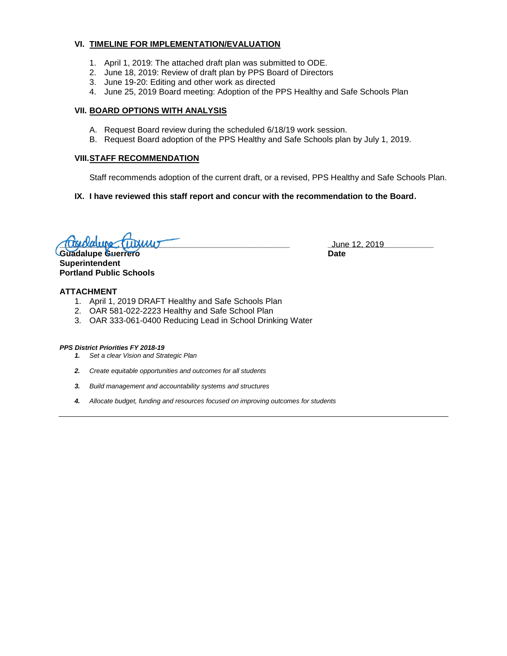#### **VI. TIMELINE FOR IMPLEMENTATION/EVALUATION**

- 1. April 1, 2019: The attached draft plan was submitted to ODE.
- 2. June 18, 2019: Review of draft plan by PPS Board of Directors
- 3. June 19-20: Editing and other work as directed
- 4. June 25, 2019 Board meeting: Adoption of the PPS Healthy and Safe Schools Plan

#### **VII. BOARD OPTIONS WITH ANALYSIS**

- A. Request Board review during the scheduled 6/18/19 work session.
- B. Request Board adoption of the PPS Healthy and Safe Schools plan by July 1, 2019.

#### **VIII.STAFF RECOMMENDATION**

Staff recommends adoption of the current draft, or a revised, PPS Healthy and Safe Schools Plan.

**IX. I have reviewed this staff report and concur with the recommendation to the Board.**

**\_\_\_\_\_\_\_\_\_\_\_\_\_\_\_\_\_\_\_\_\_\_\_\_\_\_\_\_\_\_\_\_\_\_\_\_\_\_\_\_\_\_\_\_\_\_\_\_\_\_ \_\_\_\_\_\_\_\_\_\_\_\_\_\_\_\_\_\_\_\_\_\_\_** June 12, 2019

**Guadalupe Guerrero Date Superintendent Portland Public Schools**

**ATTACHMENT**

- 1. April 1, 2019 DRAFT Healthy and Safe Schools Plan
- 2. OAR 581-022-2223 Healthy and Safe School Plan
- 3. OAR 333-061-0400 Reducing Lead in School Drinking Water

#### *PPS District Priorities FY 2018-19*

- *1. Set a clear Vision and Strategic Plan*
- *2. Create equitable opportunities and outcomes for all students*
- *3. Build management and accountability systems and structures*
- *4. Allocate budget, funding and resources focused on improving outcomes for students*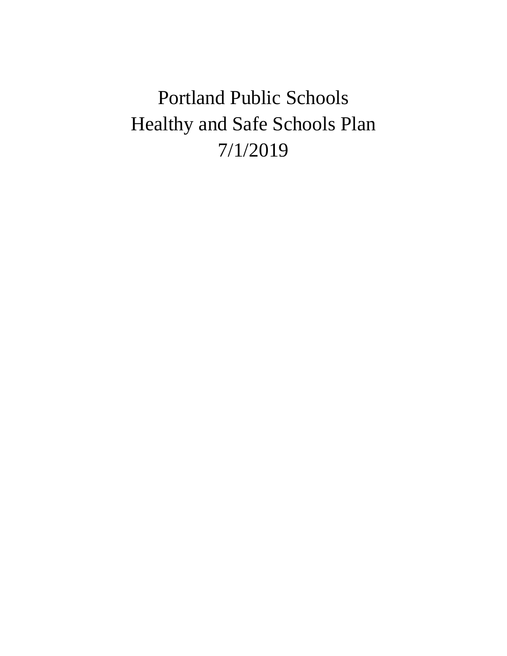Portland Public Schools Healthy and Safe Schools Plan 7/1/2019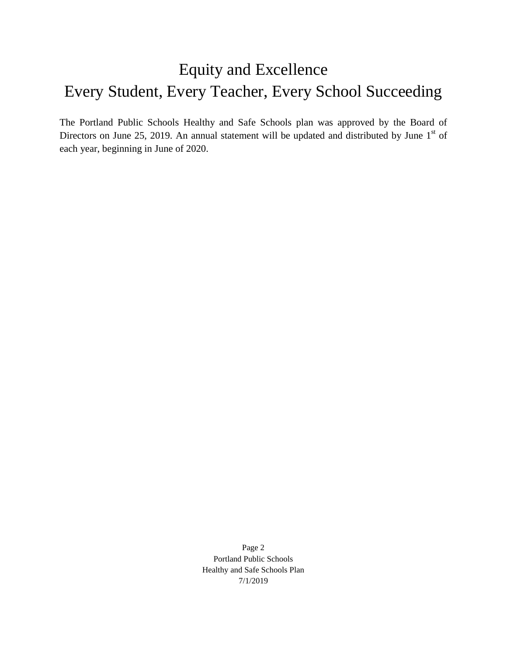# Equity and Excellence Every Student, Every Teacher, Every School Succeeding

The Portland Public Schools Healthy and Safe Schools plan was approved by the Board of Directors on June 25, 2019. An annual statement will be updated and distributed by June  $1<sup>st</sup>$  of each year, beginning in June of 2020.

> Page 2 Portland Public Schools Healthy and Safe Schools Plan 7/1/2019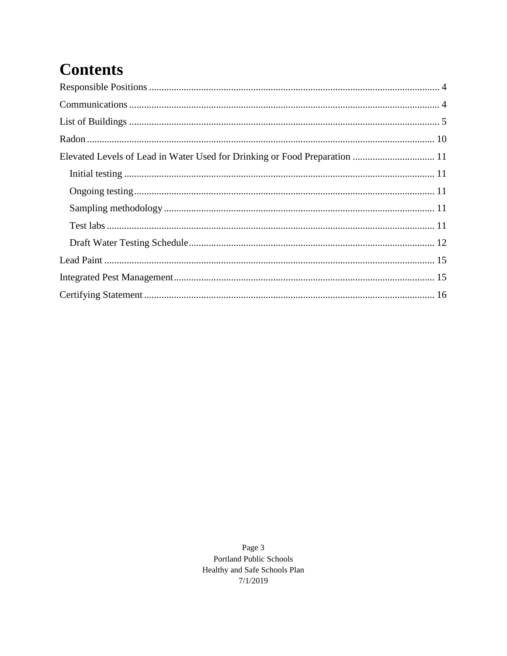# **Contents**

Page 3 Portland Public Schools Healthy and Safe Schools Plan  $7/1/2019$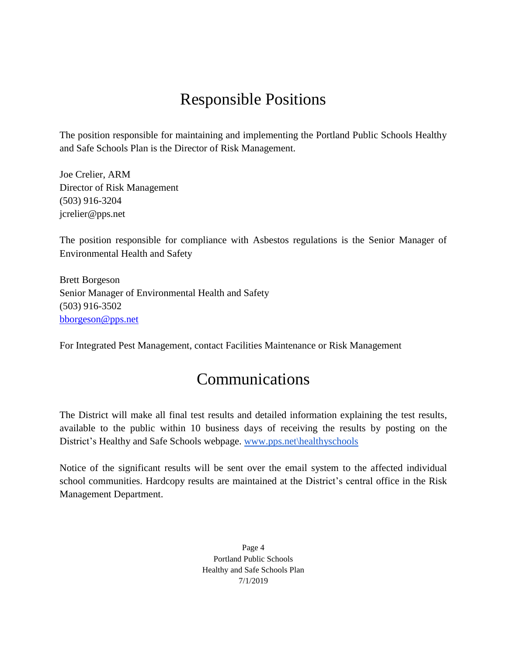# Responsible Positions

<span id="page-5-0"></span>The position responsible for maintaining and implementing the Portland Public Schools Healthy and Safe Schools Plan is the Director of Risk Management.

Joe Crelier, ARM Director of Risk Management (503) 916-3204 [jcrelier@pps.net](mailto:jcrelier@pps.net)

The position responsible for compliance with Asbestos regulations is the Senior Manager of Environmental Health and Safety

Brett Borgeson Senior Manager of Environmental Health and Safety (503) 916-3502 [bborgeson@pps.net](mailto:bborgeson@pps.net)

<span id="page-5-1"></span>For Integrated Pest Management, contact Facilities Maintenance or Risk Management

# Communications

The District will make all final test results and detailed information explaining the test results, available to the public within 10 business days of receiving the results by posting on the District's Healthy and Safe Schools webpage. [www.pps.net\healthyschools](http://www.pps.net/healthyschools)

Notice of the significant results will be sent over the email system to the affected individual school communities. Hardcopy results are maintained at the District's central office in the Risk Management Department.

> Page 4 Portland Public Schools Healthy and Safe Schools Plan 7/1/2019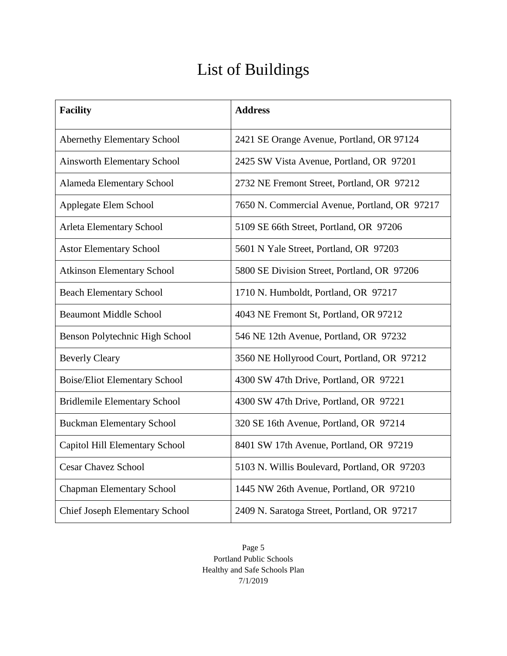# List of Buildings

<span id="page-6-0"></span>

| <b>Facility</b>                       | <b>Address</b>                                |
|---------------------------------------|-----------------------------------------------|
| <b>Abernethy Elementary School</b>    | 2421 SE Orange Avenue, Portland, OR 97124     |
| <b>Ainsworth Elementary School</b>    | 2425 SW Vista Avenue, Portland, OR 97201      |
| Alameda Elementary School             | 2732 NE Fremont Street, Portland, OR 97212    |
| Applegate Elem School                 | 7650 N. Commercial Avenue, Portland, OR 97217 |
| Arleta Elementary School              | 5109 SE 66th Street, Portland, OR 97206       |
| <b>Astor Elementary School</b>        | 5601 N Yale Street, Portland, OR 97203        |
| <b>Atkinson Elementary School</b>     | 5800 SE Division Street, Portland, OR 97206   |
| <b>Beach Elementary School</b>        | 1710 N. Humboldt, Portland, OR 97217          |
| <b>Beaumont Middle School</b>         | 4043 NE Fremont St, Portland, OR 97212        |
| Benson Polytechnic High School        | 546 NE 12th Avenue, Portland, OR 97232        |
| <b>Beverly Cleary</b>                 | 3560 NE Hollyrood Court, Portland, OR 97212   |
| <b>Boise/Eliot Elementary School</b>  | 4300 SW 47th Drive, Portland, OR 97221        |
| <b>Bridlemile Elementary School</b>   | 4300 SW 47th Drive, Portland, OR 97221        |
| <b>Buckman Elementary School</b>      | 320 SE 16th Avenue, Portland, OR 97214        |
| Capitol Hill Elementary School        | 8401 SW 17th Avenue, Portland, OR 97219       |
| <b>Cesar Chavez School</b>            | 5103 N. Willis Boulevard, Portland, OR 97203  |
| <b>Chapman Elementary School</b>      | 1445 NW 26th Avenue, Portland, OR 97210       |
| <b>Chief Joseph Elementary School</b> | 2409 N. Saratoga Street, Portland, OR 97217   |

Page 5 Portland Public Schools Healthy and Safe Schools Plan 7/1/2019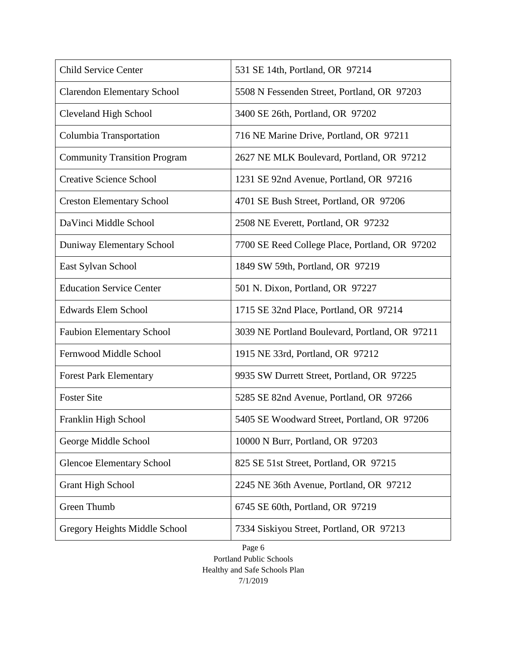| <b>Child Service Center</b>         | 531 SE 14th, Portland, OR 97214                |
|-------------------------------------|------------------------------------------------|
| <b>Clarendon Elementary School</b>  | 5508 N Fessenden Street, Portland, OR 97203    |
| <b>Cleveland High School</b>        | 3400 SE 26th, Portland, OR 97202               |
| Columbia Transportation             | 716 NE Marine Drive, Portland, OR 97211        |
| <b>Community Transition Program</b> | 2627 NE MLK Boulevard, Portland, OR 97212      |
| <b>Creative Science School</b>      | 1231 SE 92nd Avenue, Portland, OR 97216        |
| <b>Creston Elementary School</b>    | 4701 SE Bush Street, Portland, OR 97206        |
| DaVinci Middle School               | 2508 NE Everett, Portland, OR 97232            |
| Duniway Elementary School           | 7700 SE Reed College Place, Portland, OR 97202 |
| East Sylvan School                  | 1849 SW 59th, Portland, OR 97219               |
| <b>Education Service Center</b>     | 501 N. Dixon, Portland, OR 97227               |
| <b>Edwards Elem School</b>          | 1715 SE 32nd Place, Portland, OR 97214         |
| <b>Faubion Elementary School</b>    | 3039 NE Portland Boulevard, Portland, OR 97211 |
| Fernwood Middle School              | 1915 NE 33rd, Portland, OR 97212               |
| <b>Forest Park Elementary</b>       | 9935 SW Durrett Street, Portland, OR 97225     |
| <b>Foster Site</b>                  | 5285 SE 82nd Avenue, Portland, OR 97266        |
| Franklin High School                | 5405 SE Woodward Street, Portland, OR 97206    |
| George Middle School                | 10000 N Burr, Portland, OR 97203               |
| <b>Glencoe Elementary School</b>    | 825 SE 51st Street, Portland, OR 97215         |
| <b>Grant High School</b>            | 2245 NE 36th Avenue, Portland, OR 97212        |
| Green Thumb                         | 6745 SE 60th, Portland, OR 97219               |
| Gregory Heights Middle School       | 7334 Siskiyou Street, Portland, OR 97213       |

Page 6 Portland Public Schools Healthy and Safe Schools Plan 7/1/2019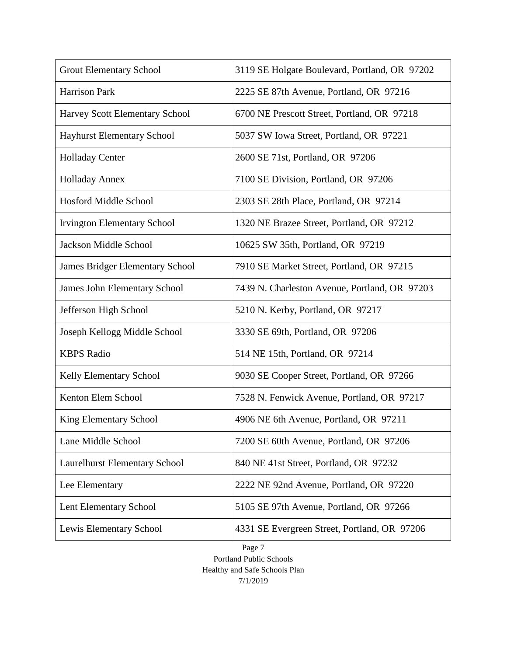| <b>Grout Elementary School</b>         | 3119 SE Holgate Boulevard, Portland, OR 97202 |  |
|----------------------------------------|-----------------------------------------------|--|
| Harrison Park                          | 2225 SE 87th Avenue, Portland, OR 97216       |  |
| Harvey Scott Elementary School         | 6700 NE Prescott Street, Portland, OR 97218   |  |
| <b>Hayhurst Elementary School</b>      | 5037 SW Iowa Street, Portland, OR 97221       |  |
| <b>Holladay Center</b>                 | 2600 SE 71st, Portland, OR 97206              |  |
| <b>Holladay Annex</b>                  | 7100 SE Division, Portland, OR 97206          |  |
| <b>Hosford Middle School</b>           | 2303 SE 28th Place, Portland, OR 97214        |  |
| <b>Irvington Elementary School</b>     | 1320 NE Brazee Street, Portland, OR 97212     |  |
| <b>Jackson Middle School</b>           | 10625 SW 35th, Portland, OR 97219             |  |
| <b>James Bridger Elementary School</b> | 7910 SE Market Street, Portland, OR 97215     |  |
| <b>James John Elementary School</b>    | 7439 N. Charleston Avenue, Portland, OR 97203 |  |
| Jefferson High School                  | 5210 N. Kerby, Portland, OR 97217             |  |
| Joseph Kellogg Middle School           | 3330 SE 69th, Portland, OR 97206              |  |
| <b>KBPS Radio</b>                      | 514 NE 15th, Portland, OR 97214               |  |
| Kelly Elementary School                | 9030 SE Cooper Street, Portland, OR 97266     |  |
| Kenton Elem School                     | 7528 N. Fenwick Avenue, Portland, OR 97217    |  |
| King Elementary School                 | 4906 NE 6th Avenue, Portland, OR 97211        |  |
| Lane Middle School                     | 7200 SE 60th Avenue, Portland, OR 97206       |  |
| Laurelhurst Elementary School          | 840 NE 41st Street, Portland, OR 97232        |  |
| Lee Elementary                         | 2222 NE 92nd Avenue, Portland, OR 97220       |  |
| Lent Elementary School                 | 5105 SE 97th Avenue, Portland, OR 97266       |  |
| Lewis Elementary School                | 4331 SE Evergreen Street, Portland, OR 97206  |  |

Page 7 Portland Public Schools Healthy and Safe Schools Plan 7/1/2019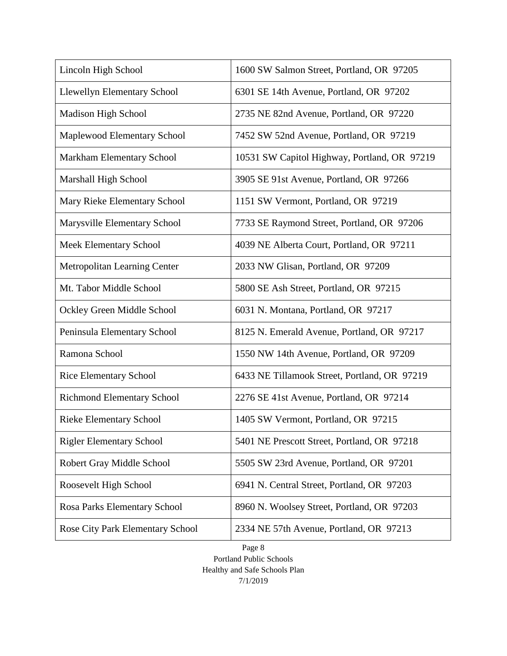| Lincoln High School                 | 1600 SW Salmon Street, Portland, OR 97205    |  |
|-------------------------------------|----------------------------------------------|--|
| <b>Llewellyn Elementary School</b>  | 6301 SE 14th Avenue, Portland, OR 97202      |  |
| Madison High School                 | 2735 NE 82nd Avenue, Portland, OR 97220      |  |
| Maplewood Elementary School         | 7452 SW 52nd Avenue, Portland, OR 97219      |  |
| Markham Elementary School           | 10531 SW Capitol Highway, Portland, OR 97219 |  |
| Marshall High School                | 3905 SE 91st Avenue, Portland, OR 97266      |  |
| Mary Rieke Elementary School        | 1151 SW Vermont, Portland, OR 97219          |  |
| Marysville Elementary School        | 7733 SE Raymond Street, Portland, OR 97206   |  |
| <b>Meek Elementary School</b>       | 4039 NE Alberta Court, Portland, OR 97211    |  |
| <b>Metropolitan Learning Center</b> | 2033 NW Glisan, Portland, OR 97209           |  |
| Mt. Tabor Middle School             | 5800 SE Ash Street, Portland, OR 97215       |  |
| Ockley Green Middle School          | 6031 N. Montana, Portland, OR 97217          |  |
| Peninsula Elementary School         | 8125 N. Emerald Avenue, Portland, OR 97217   |  |
| Ramona School                       | 1550 NW 14th Avenue, Portland, OR 97209      |  |
| <b>Rice Elementary School</b>       | 6433 NE Tillamook Street, Portland, OR 97219 |  |
| <b>Richmond Elementary School</b>   | 2276 SE 41st Avenue, Portland, OR 97214      |  |
| <b>Rieke Elementary School</b>      | 1405 SW Vermont, Portland, OR 97215          |  |
| <b>Rigler Elementary School</b>     | 5401 NE Prescott Street, Portland, OR 97218  |  |
| Robert Gray Middle School           | 5505 SW 23rd Avenue, Portland, OR 97201      |  |
| Roosevelt High School               | 6941 N. Central Street, Portland, OR 97203   |  |
| Rosa Parks Elementary School        | 8960 N. Woolsey Street, Portland, OR 97203   |  |
| Rose City Park Elementary School    | 2334 NE 57th Avenue, Portland, OR 97213      |  |

Page 8 Portland Public Schools Healthy and Safe Schools Plan 7/1/2019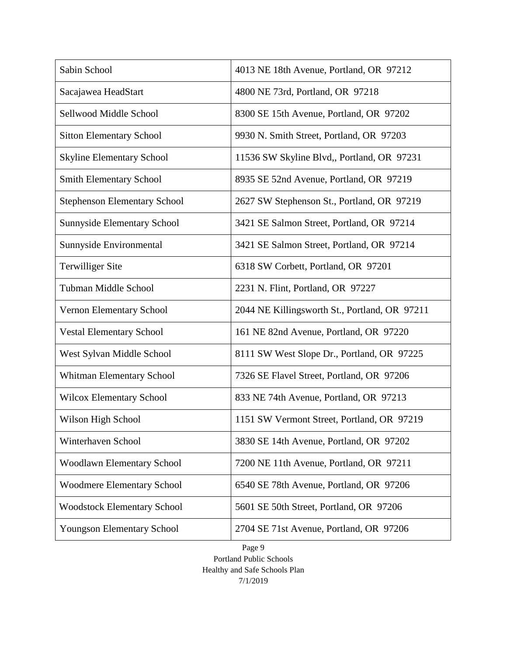| Sabin School                        | 4013 NE 18th Avenue, Portland, OR 97212       |
|-------------------------------------|-----------------------------------------------|
| Sacajawea HeadStart                 | 4800 NE 73rd, Portland, OR 97218              |
| Sellwood Middle School              | 8300 SE 15th Avenue, Portland, OR 97202       |
| <b>Sitton Elementary School</b>     | 9930 N. Smith Street, Portland, OR 97203      |
| <b>Skyline Elementary School</b>    | 11536 SW Skyline Blvd,, Portland, OR 97231    |
| <b>Smith Elementary School</b>      | 8935 SE 52nd Avenue, Portland, OR 97219       |
| <b>Stephenson Elementary School</b> | 2627 SW Stephenson St., Portland, OR 97219    |
| <b>Sunnyside Elementary School</b>  | 3421 SE Salmon Street, Portland, OR 97214     |
| Sunnyside Environmental             | 3421 SE Salmon Street, Portland, OR 97214     |
| <b>Terwilliger Site</b>             | 6318 SW Corbett, Portland, OR 97201           |
| <b>Tubman Middle School</b>         | 2231 N. Flint, Portland, OR 97227             |
| Vernon Elementary School            | 2044 NE Killingsworth St., Portland, OR 97211 |
| <b>Vestal Elementary School</b>     | 161 NE 82nd Avenue, Portland, OR 97220        |
| West Sylvan Middle School           | 8111 SW West Slope Dr., Portland, OR 97225    |
| Whitman Elementary School           | 7326 SE Flavel Street, Portland, OR 97206     |
| <b>Wilcox Elementary School</b>     | 833 NE 74th Avenue, Portland, OR 97213        |
| Wilson High School                  | 1151 SW Vermont Street, Portland, OR 97219    |
| Winterhaven School                  | 3830 SE 14th Avenue, Portland, OR 97202       |
| <b>Woodlawn Elementary School</b>   | 7200 NE 11th Avenue, Portland, OR 97211       |
| <b>Woodmere Elementary School</b>   | 6540 SE 78th Avenue, Portland, OR 97206       |
| <b>Woodstock Elementary School</b>  | 5601 SE 50th Street, Portland, OR 97206       |
| <b>Youngson Elementary School</b>   | 2704 SE 71st Avenue, Portland, OR 97206       |

Page 9 Portland Public Schools Healthy and Safe Schools Plan 7/1/2019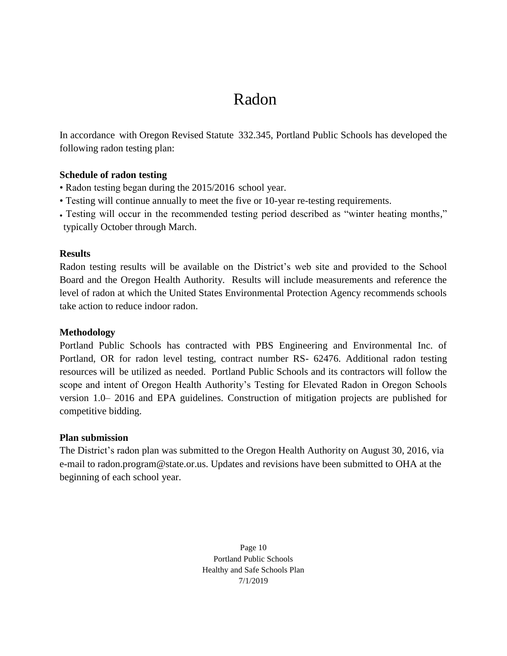# <span id="page-11-0"></span>Radon

In accordance with Oregon Revised Statute 332.345, Portland Public Schools has developed the following radon testing plan:

### **Schedule of radon testing**

- Radon testing began during the 2015/2016 school year.
- Testing will continue annually to meet the five or 10-year re-testing requirements.
- Testing will occur in the recommended testing period described as "winter heating months," typically October through March.

### **Results**

Radon testing results will be available on the District's web site and provided to the School Board and the Oregon Health Authority. Results will include measurements and reference the level of radon at which the United States Environmental Protection Agency recommends schools take action to reduce indoor radon.

### **Methodology**

Portland Public Schools has contracted with PBS Engineering and Environmental Inc. of Portland, OR for radon level testing, contract number RS- 62476. Additional radon testing resources will be utilized as needed. Portland Public Schools and its contractors will follow the scope and intent of Oregon Health Authority's Testing for Elevated Radon in Oregon Schools version 1.0– 2016 and EPA guidelines. Construction of mitigation projects are published for competitive bidding.

### **Plan submission**

The District's radon plan was submitted to the Oregon Health Authority on August 30, 2016, via e-mail to radon.program@state.or.us. Updates and revisions have been submitted to OHA at the beginning of each school year.

> Page 10 Portland Public Schools Healthy and Safe Schools Plan 7/1/2019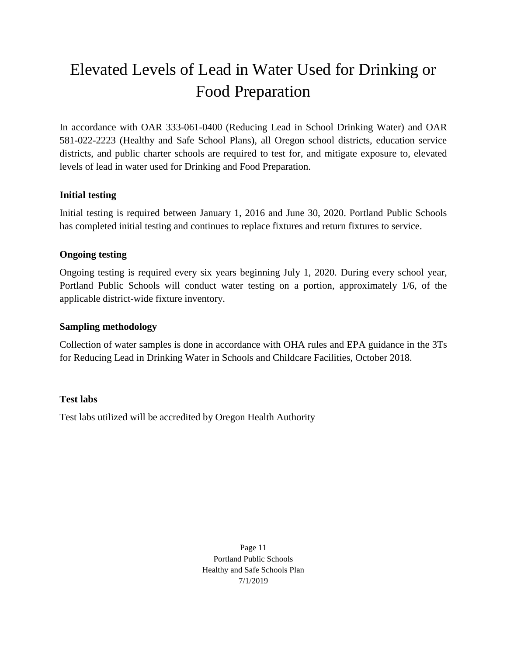# <span id="page-12-0"></span>Elevated Levels of Lead in Water Used for Drinking or Food Preparation

In accordance with OAR 333-061-0400 (Reducing Lead in School Drinking Water) and OAR 581-022-2223 (Healthy and Safe School Plans), all Oregon school districts, education service districts, and public charter schools are required to test for, and mitigate exposure to, elevated levels of lead in water used for Drinking and Food Preparation.

### <span id="page-12-1"></span>**Initial testing**

Initial testing is required between January 1, 2016 and June 30, 2020. Portland Public Schools has completed initial testing and continues to replace fixtures and return fixtures to service.

## <span id="page-12-2"></span>**Ongoing testing**

Ongoing testing is required every six years beginning July 1, 2020. During every school year, Portland Public Schools will conduct water testing on a portion, approximately 1/6, of the applicable district-wide fixture inventory.

## <span id="page-12-3"></span>**Sampling methodology**

Collection of water samples is done in accordance with OHA rules and EPA guidance in the 3Ts for Reducing Lead in Drinking Water in Schools and Childcare Facilities, October 2018.

### <span id="page-12-4"></span>**Test labs**

Test labs utilized will be accredited by Oregon Health Authority

Page 11 Portland Public Schools Healthy and Safe Schools Plan 7/1/2019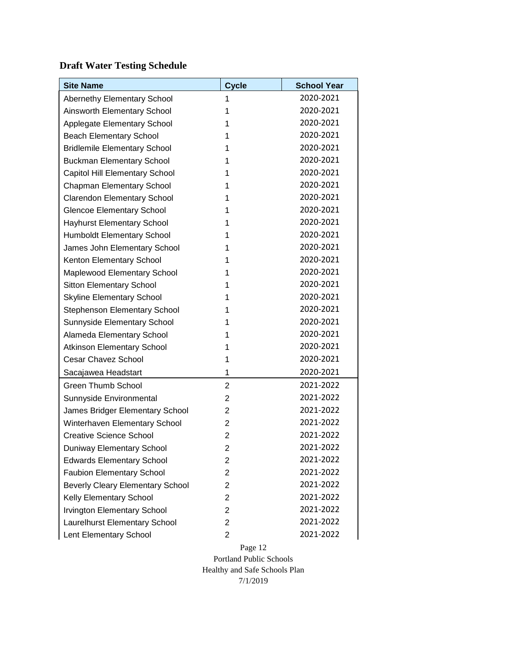## <span id="page-13-0"></span>**Draft Water Testing Schedule**

| <b>Site Name</b>                        | <b>Cycle</b>   | <b>School Year</b> |
|-----------------------------------------|----------------|--------------------|
| Abernethy Elementary School             | 1              | 2020-2021          |
| Ainsworth Elementary School             | 1              | 2020-2021          |
| Applegate Elementary School             | 1              | 2020-2021          |
| <b>Beach Elementary School</b>          | 1              | 2020-2021          |
| <b>Bridlemile Elementary School</b>     | 1              | 2020-2021          |
| <b>Buckman Elementary School</b>        | 1              | 2020-2021          |
| Capitol Hill Elementary School          | 1              | 2020-2021          |
| Chapman Elementary School               | 1              | 2020-2021          |
| <b>Clarendon Elementary School</b>      | 1              | 2020-2021          |
| <b>Glencoe Elementary School</b>        | 1              | 2020-2021          |
| <b>Hayhurst Elementary School</b>       | 1              | 2020-2021          |
| Humboldt Elementary School              | 1              | 2020-2021          |
| James John Elementary School            | 1              | 2020-2021          |
| Kenton Elementary School                | 1              | 2020-2021          |
| Maplewood Elementary School             | 1              | 2020-2021          |
| <b>Sitton Elementary School</b>         | 1              | 2020-2021          |
| <b>Skyline Elementary School</b>        | 1              | 2020-2021          |
| Stephenson Elementary School            | 1              | 2020-2021          |
| Sunnyside Elementary School             | 1              | 2020-2021          |
| Alameda Elementary School               | 1              | 2020-2021          |
| <b>Atkinson Elementary School</b>       | 1              | 2020-2021          |
| <b>Cesar Chavez School</b>              | 1              | 2020-2021          |
| Sacajawea Headstart                     | 1              | 2020-2021          |
| <b>Green Thumb School</b>               | $\overline{2}$ | 2021-2022          |
| Sunnyside Environmental                 | $\overline{2}$ | 2021-2022          |
| James Bridger Elementary School         | 2              | 2021-2022          |
| Winterhaven Elementary School           | 2              | 2021-2022          |
| <b>Creative Science School</b>          | $\overline{2}$ | 2021-2022          |
| Duniway Elementary School               | $\overline{2}$ | 2021-2022          |
| <b>Edwards Elementary School</b>        | 2              | 2021-2022          |
| <b>Faubion Elementary School</b>        | $\overline{2}$ | 2021-2022          |
| <b>Beverly Cleary Elementary School</b> | $\overline{2}$ | 2021-2022          |
| Kelly Elementary School                 | $\overline{2}$ | 2021-2022          |
| <b>Irvington Elementary School</b>      | $\overline{2}$ | 2021-2022          |
| Laurelhurst Elementary School           | $\overline{2}$ | 2021-2022          |
| Lent Elementary School                  | $\overline{c}$ | 2021-2022          |

Page 12 Portland Public Schools Healthy and Safe Schools Plan 7/1/2019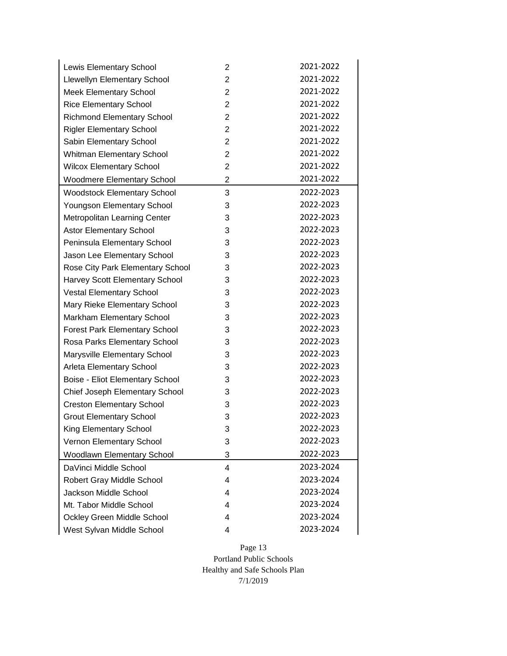| Lewis Elementary School            | 2              | 2021-2022 |
|------------------------------------|----------------|-----------|
| <b>Llewellyn Elementary School</b> | $\overline{2}$ | 2021-2022 |
| <b>Meek Elementary School</b>      | $\overline{2}$ | 2021-2022 |
| <b>Rice Elementary School</b>      | $\overline{2}$ | 2021-2022 |
| <b>Richmond Elementary School</b>  | $\overline{2}$ | 2021-2022 |
| <b>Rigler Elementary School</b>    | $\overline{2}$ | 2021-2022 |
| Sabin Elementary School            | $\overline{2}$ | 2021-2022 |
| <b>Whitman Elementary School</b>   | $\overline{2}$ | 2021-2022 |
| <b>Wilcox Elementary School</b>    | $\overline{2}$ | 2021-2022 |
| <b>Woodmere Elementary School</b>  | $\overline{2}$ | 2021-2022 |
| <b>Woodstock Elementary School</b> | 3              | 2022-2023 |
| Youngson Elementary School         | 3              | 2022-2023 |
| Metropolitan Learning Center       | 3              | 2022-2023 |
| <b>Astor Elementary School</b>     | 3              | 2022-2023 |
| Peninsula Elementary School        | 3              | 2022-2023 |
| Jason Lee Elementary School        | 3              | 2022-2023 |
| Rose City Park Elementary School   | 3              | 2022-2023 |
| Harvey Scott Elementary School     | 3              | 2022-2023 |
| <b>Vestal Elementary School</b>    | 3              | 2022-2023 |
| Mary Rieke Elementary School       | 3              | 2022-2023 |
| Markham Elementary School          | 3              | 2022-2023 |
| Forest Park Elementary School      | 3              | 2022-2023 |
| Rosa Parks Elementary School       | 3              | 2022-2023 |
| Marysville Elementary School       | 3              | 2022-2023 |
| Arleta Elementary School           | 3              | 2022-2023 |
| Boise - Eliot Elementary School    | 3              | 2022-2023 |
| Chief Joseph Elementary School     | 3              | 2022-2023 |
| <b>Creston Elementary School</b>   | 3              | 2022-2023 |
| <b>Grout Elementary School</b>     | 3              | 2022-2023 |
| King Elementary School             | 3              | 2022-2023 |
| Vernon Elementary School           | 3              | 2022-2023 |
| Woodlawn Elementary School         | 3              | 2022-2023 |
| DaVinci Middle School              | 4              | 2023-2024 |
| Robert Gray Middle School          | 4              | 2023-2024 |
| Jackson Middle School              | 4              | 2023-2024 |
| Mt. Tabor Middle School            | 4              | 2023-2024 |
| Ockley Green Middle School         | 4              | 2023-2024 |
| West Sylvan Middle School          | 4              | 2023-2024 |

Page 13 Portland Public Schools Healthy and Safe Schools Plan 7/1/2019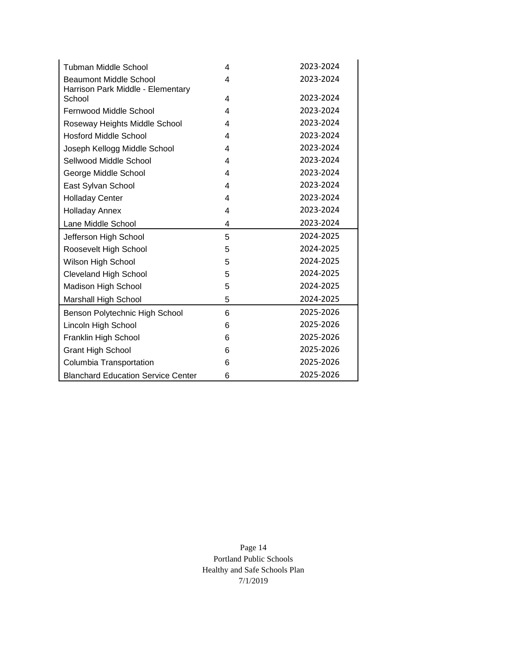| <b>Tubman Middle School</b>                 | 4                       | 2023-2024 |
|---------------------------------------------|-------------------------|-----------|
| <b>Beaumont Middle School</b>               | 4                       | 2023-2024 |
| Harrison Park Middle - Elementary<br>School | $\overline{\mathbf{4}}$ | 2023-2024 |
| Fernwood Middle School                      | 4                       | 2023-2024 |
| Roseway Heights Middle School               | 4                       | 2023-2024 |
| <b>Hosford Middle School</b>                | 4                       | 2023-2024 |
| Joseph Kellogg Middle School                | 4                       | 2023-2024 |
| Sellwood Middle School                      | 4                       | 2023-2024 |
| George Middle School                        | 4                       | 2023-2024 |
| East Sylvan School                          | 4                       | 2023-2024 |
| <b>Holladay Center</b>                      | 4                       | 2023-2024 |
| <b>Holladay Annex</b>                       | 4                       | 2023-2024 |
| Lane Middle School                          | 4                       | 2023-2024 |
| Jefferson High School                       | 5                       | 2024-2025 |
| Roosevelt High School                       | 5                       | 2024-2025 |
| Wilson High School                          | 5                       | 2024-2025 |
| <b>Cleveland High School</b>                | 5                       | 2024-2025 |
| <b>Madison High School</b>                  | 5                       | 2024-2025 |
| Marshall High School                        | 5                       | 2024-2025 |
| Benson Polytechnic High School              | 6                       | 2025-2026 |
| Lincoln High School                         | 6                       | 2025-2026 |
| Franklin High School                        | 6                       | 2025-2026 |
| <b>Grant High School</b>                    | 6                       | 2025-2026 |
| Columbia Transportation                     | 6                       | 2025-2026 |
| <b>Blanchard Education Service Center</b>   | 6                       | 2025-2026 |

Page 14 Portland Public Schools Healthy and Safe Schools Plan 7/1/2019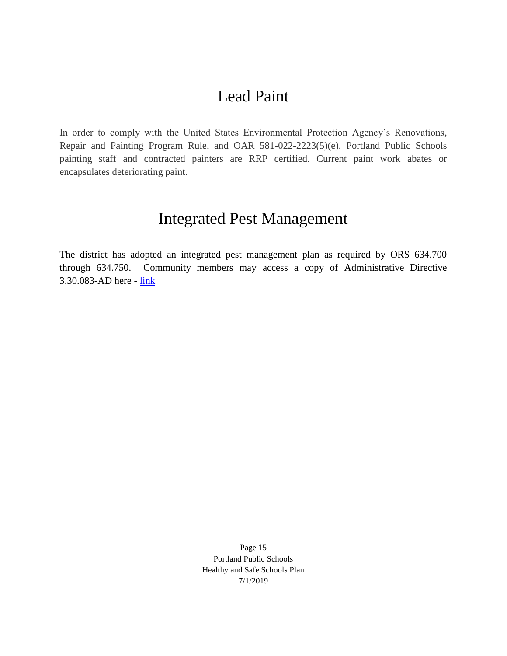# Lead Paint

<span id="page-16-0"></span>In order to comply with the United States Environmental Protection Agency's Renovations, Repair and Painting Program Rule, and OAR 581-022-2223(5)(e), Portland Public Schools painting staff and contracted painters are RRP certified. Current paint work abates or encapsulates deteriorating paint.

## Integrated Pest Management

<span id="page-16-1"></span>The district has adopted an integrated pest management plan as required by ORS 634.700 through 634.750. Community members may access a copy of Administrative Directive 3.30.083-AD here - [link](https://www.pps.net/cms/lib/OR01913224/Centricity/Domain/4814/3.30.083-AD.pdf)

> Page 15 Portland Public Schools Healthy and Safe Schools Plan 7/1/2019